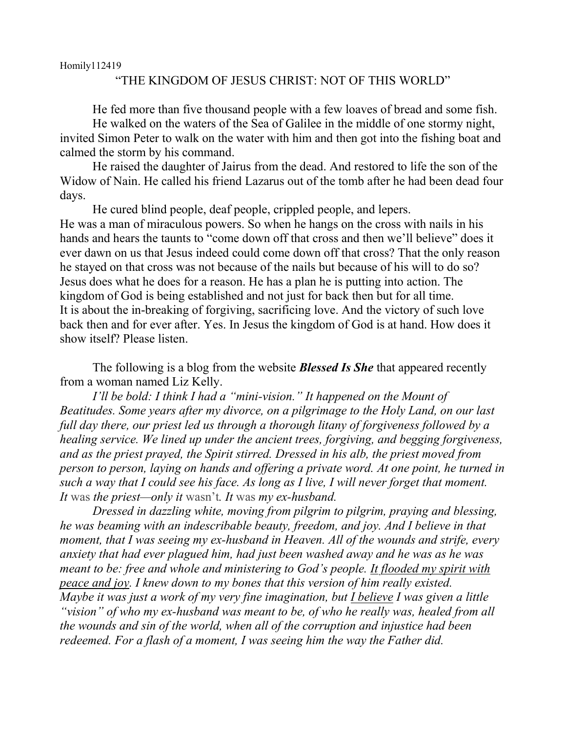Homily112419

## "THE KINGDOM OF JESUS CHRIST: NOT OF THIS WORLD"

He fed more than five thousand people with a few loaves of bread and some fish.

He walked on the waters of the Sea of Galilee in the middle of one stormy night, invited Simon Peter to walk on the water with him and then got into the fishing boat and calmed the storm by his command.

He raised the daughter of Jairus from the dead. And restored to life the son of the Widow of Nain. He called his friend Lazarus out of the tomb after he had been dead four days.

He cured blind people, deaf people, crippled people, and lepers. He was a man of miraculous powers. So when he hangs on the cross with nails in his hands and hears the taunts to "come down off that cross and then we'll believe" does it ever dawn on us that Jesus indeed could come down off that cross? That the only reason he stayed on that cross was not because of the nails but because of his will to do so? Jesus does what he does for a reason. He has a plan he is putting into action. The kingdom of God is being established and not just for back then but for all time. It is about the in-breaking of forgiving, sacrificing love. And the victory of such love back then and for ever after. Yes. In Jesus the kingdom of God is at hand. How does it show itself? Please listen.

The following is a blog from the website *Blessed Is She* that appeared recently from a woman named Liz Kelly.

*I'll be bold: I think I had a "mini-vision." It happened on the Mount of Beatitudes. Some years after my divorce, on a pilgrimage to the Holy Land, on our last full day there, our priest led us through a thorough litany of forgiveness followed by a healing service. We lined up under the ancient trees, forgiving, and begging forgiveness, and as the priest prayed, the Spirit stirred. Dressed in his alb, the priest moved from person to person, laying on hands and offering a private word. At one point, he turned in such a way that I could see his face. As long as I live, I will never forget that moment. It* was *the priest—only it* wasn't*. It* was *my ex-husband.*

*Dressed in dazzling white, moving from pilgrim to pilgrim, praying and blessing, he was beaming with an indescribable beauty, freedom, and joy. And I believe in that moment, that I was seeing my ex-husband in Heaven. All of the wounds and strife, every anxiety that had ever plagued him, had just been washed away and he was as he was meant to be: free and whole and ministering to God's people. It flooded my spirit with peace and joy. I knew down to my bones that this version of him really existed. Maybe it was just a work of my very fine imagination, but I believe I was given a little "vision" of who my ex-husband was meant to be, of who he really was, healed from all the wounds and sin of the world, when all of the corruption and injustice had been redeemed. For a flash of a moment, I was seeing him the way the Father did.*